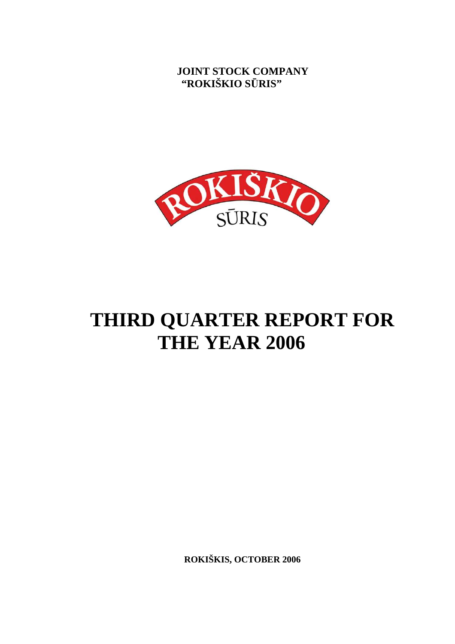**JOINT STOCK COMPANY "ROKIŠKIO S**Ū**RIS"** 



# **THIRD QUARTER REPORT FOR THE YEAR 2006**

**ROKIŠKIS, OCTOBER 2006**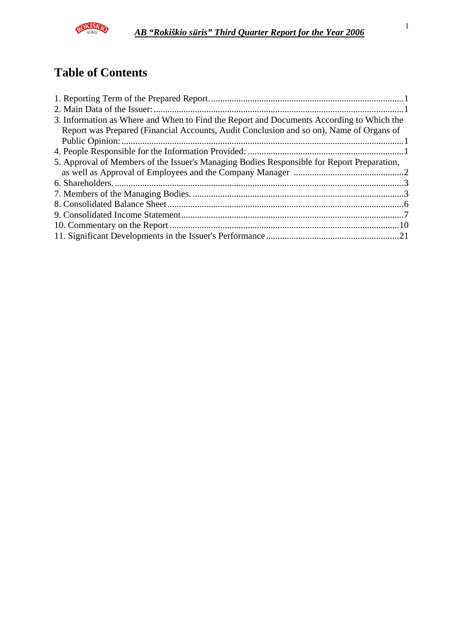

## **Table of Contents**

| 3. Information as Where and When to Find the Report and Documents According to Which the   |  |
|--------------------------------------------------------------------------------------------|--|
| Report was Prepared (Financial Accounts, Audit Conclusion and so on), Name of Organs of    |  |
|                                                                                            |  |
|                                                                                            |  |
| 5. Approval of Members of the Issuer's Managing Bodies Responsible for Report Preparation, |  |
|                                                                                            |  |
|                                                                                            |  |
|                                                                                            |  |
|                                                                                            |  |
|                                                                                            |  |
|                                                                                            |  |
|                                                                                            |  |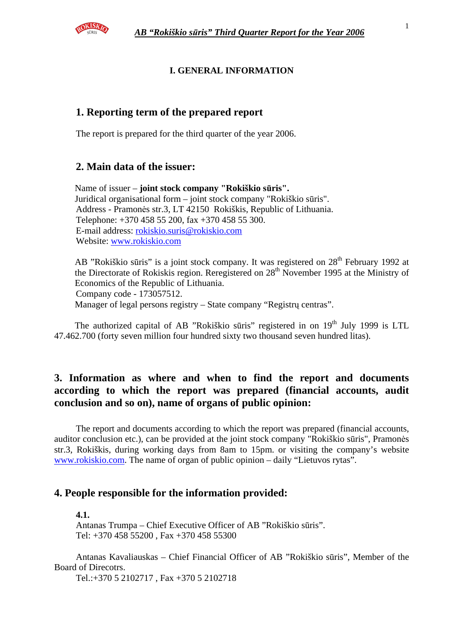

#### **I. GENERAL INFORMATION**

## **1. Reporting term of the prepared report**

The report is prepared for the third quarter of the year 2006.

## **2. Main data of the issuer:**

Name of issuer – **joint stock company "Rokiškio s**ū**ris".**  Juridical organisational form – joint stock company "Rokiškio sūris". Address - Pramonės str.3, LT 42150 Rokiškis, Republic of Lithuania. Telephone: +370 458 55 200, fax +370 458 55 300. E-mail address: rokiskio.suris@rokiskio.com Website: www.rokiskio.com

AB "Rokiškio sūris" is a joint stock company. It was registered on 28<sup>th</sup> February 1992 at the Directorate of Rokiskis region. Reregistered on  $28<sup>th</sup>$  November 1995 at the Ministry of Economics of the Republic of Lithuania. Company code - 173057512. Manager of legal persons registry – State company "Registrų centras".

The authorized capital of AB "Rokiškio sūris" registered in on  $19<sup>th</sup>$  July 1999 is LTL 47.462.700 (forty seven million four hundred sixty two thousand seven hundred litas).

## **3. Information as where and when to find the report and documents according to which the report was prepared (financial accounts, audit conclusion and so on), name of organs of public opinion:**

The report and documents according to which the report was prepared (financial accounts, auditor conclusion etc.), can be provided at the joint stock company "Rokiškio sūris", Pramonės str.3, Rokiškis, during working days from 8am to 15pm. or visiting the company's website www.rokiskio.com. The name of organ of public opinion – daily "Lietuvos rytas".

## **4. People responsible for the information provided:**

#### **4.1.**

Antanas Trumpa – Chief Executive Officer of AB "Rokiškio sūris". Tel: +370 458 55200 , Fax +370 458 55300

Antanas Kavaliauskas – Chief Financial Officer of AB "Rokiškio sūris", Member of the Board of Direcotrs.

Tel.:+370 5 2102717 , Fax +370 5 2102718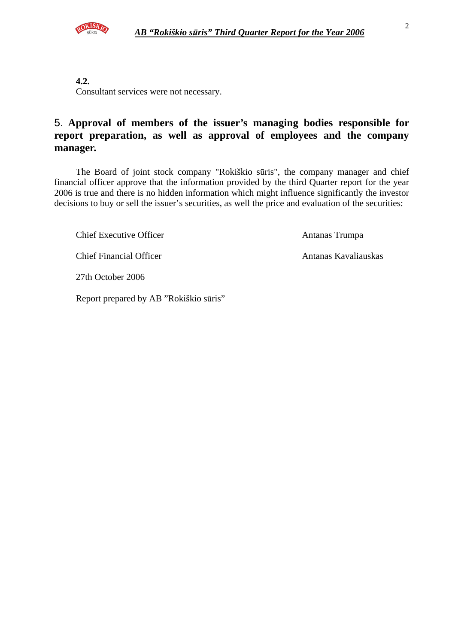

**4.2.** 

Consultant services were not necessary.

## 5. **Approval of members of the issuer's managing bodies responsible for report preparation, as well as approval of employees and the company manager.**

The Board of joint stock company "Rokiškio sūris", the company manager and chief financial officer approve that the information provided by the third Quarter report for the year 2006 is true and there is no hidden information which might influence significantly the investor decisions to buy or sell the issuer's securities, as well the price and evaluation of the securities:

Chief Executive Officer Antanas Trumpa

Chief Financial Officer Antanas Kavaliauskas

27th October 2006

Report prepared by AB "Rokiškio sūris"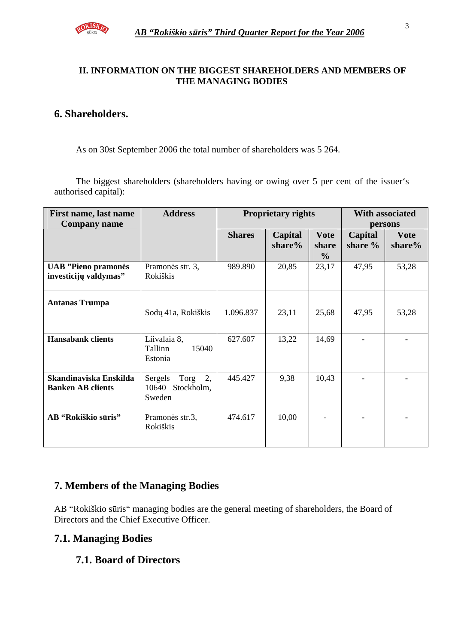

## **II. INFORMATION ON THE BIGGEST SHAREHOLDERS AND MEMBERS OF THE MANAGING BODIES**

## **6. Shareholders.**

As on 30st September 2006 the total number of shareholders was 5 264.

The biggest shareholders (shareholders having or owing over 5 per cent of the issuer's authorised capital):

| First name, last name<br><b>Company name</b>         | <b>Address</b>                                         |               | <b>Proprietary rights</b> |                                       | <b>With associated</b><br>persons |                       |
|------------------------------------------------------|--------------------------------------------------------|---------------|---------------------------|---------------------------------------|-----------------------------------|-----------------------|
|                                                      |                                                        | <b>Shares</b> | Capital<br>share%         | <b>Vote</b><br>share<br>$\frac{6}{9}$ | Capital<br>share %                | <b>Vote</b><br>share% |
| <b>UAB</b> "Pieno pramonės"<br>investicijų valdymas" | Pramonės str. 3,<br>Rokiškis                           | 989.890       | 20,85                     | 23,17                                 | 47,95                             | 53,28                 |
| <b>Antanas Trumpa</b>                                | Sodų 41a, Rokiškis                                     | 1.096.837     | 23,11                     | 25,68                                 | 47,95                             | 53,28                 |
| <b>Hansabank clients</b>                             | Liivalaia 8,<br>Tallinn<br>15040<br>Estonia            | 627.607       | 13,22                     | 14,69                                 |                                   |                       |
| Skandinaviska Enskilda<br><b>Banken AB clients</b>   | Torg<br>2,<br>Sergels<br>Stockholm,<br>10640<br>Sweden | 445.427       | 9,38                      | 10,43                                 |                                   |                       |
| AB "Rokiškio sūris"                                  | Pramonės str.3,<br>Rokiškis                            | 474.617       | 10,00                     |                                       |                                   |                       |

## **7. Members of the Managing Bodies**

AB "Rokiškio sūris" managing bodies are the general meeting of shareholders, the Board of Directors and the Chief Executive Officer.

## **7.1. Managing Bodies**

## **7.1. Board of Directors**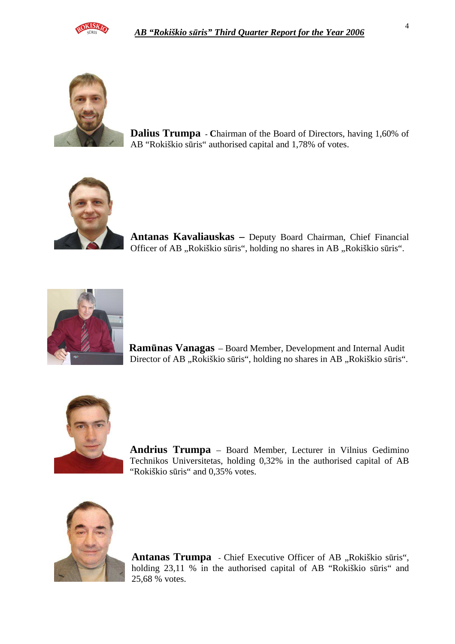



**Dalius Trumpa - C**hairman of the Board of Directors, having 1,60% of AB "Rokiškio sūris" authorised capital and 1,78% of votes.



**Antanas Kavaliauskas –** Deputy Board Chairman, Chief Financial Officer of AB "Rokiškio sūris", holding no shares in AB "Rokiškio sūris".



 **Ram**ū**nas Vanagas** – Board Member, Development and Internal Audit Director of AB "Rokiškio sūris", holding no shares in AB "Rokiškio sūris".



**Andrius Trumpa** – Board Member, Lecturer in Vilnius Gedimino Technikos Universitetas, holding 0,32% in the authorised capital of AB "Rokiškio sūris" and 0,35% votes.



Antanas Trumpa - Chief Executive Officer of AB "Rokiškio sūris", holding 23,11 % in the authorised capital of AB "Rokiškio sūris" and 25,68 % votes.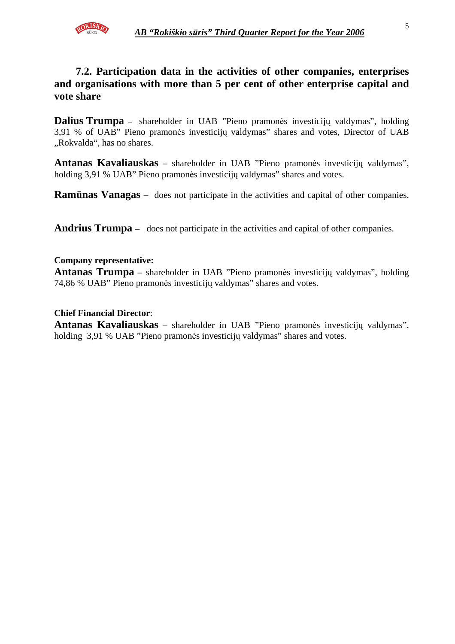

## **7.2. Participation data in the activities of other companies, enterprises and organisations with more than 5 per cent of other enterprise capital and vote share**

**Dalius Trumpa** – shareholder in UAB "Pieno pramonės investicijų valdymas", holding 3,91 % of UAB" Pieno pramonės investicijų valdymas" shares and votes, Director of UAB "Rokvalda", has no shares.

**Antanas Kavaliauskas** – shareholder in UAB "Pieno pramonės investicijų valdymas", holding 3,91 % UAB" Pieno pramonės investicijų valdymas" shares and votes.

**Ram**ū**nas Vanagas –** does not participate in the activities and capital of other companies.

**Andrius Trumpa –** does not participate in the activities and capital of other companies.

#### **Company representative:**

**Antanas Trumpa** – shareholder in UAB "Pieno pramonės investicijų valdymas", holding 74,86 % UAB" Pieno pramonės investicijų valdymas" shares and votes.

#### **Chief Financial Director**:

**Antanas Kavaliauskas** – shareholder in UAB "Pieno pramonės investicijų valdymas", holding 3,91 % UAB "Pieno pramonės investicijų valdymas" shares and votes.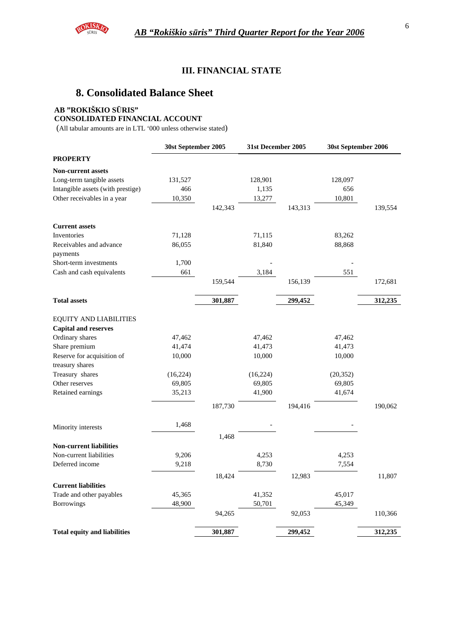

#### **III. FINANCIAL STATE**

## **8. Consolidated Balance Sheet**

#### **AB "ROKIŠKIO S**Ū**RIS"**

**CONSOLIDATED FINANCIAL ACCOUNT** 

(All tabular amounts are in LTL '000 unless otherwise stated)

|                                     | 30st September 2005 |         | 31st December 2005 |         | 30st September 2006 |         |
|-------------------------------------|---------------------|---------|--------------------|---------|---------------------|---------|
| <b>PROPERTY</b>                     |                     |         |                    |         |                     |         |
| <b>Non-current assets</b>           |                     |         |                    |         |                     |         |
| Long-term tangible assets           | 131,527             |         | 128,901            |         | 128,097             |         |
| Intangible assets (with prestige)   | 466                 |         | 1,135              |         | 656                 |         |
| Other receivables in a year         | 10,350              |         | 13,277             |         | 10,801              |         |
|                                     |                     | 142,343 |                    | 143,313 |                     | 139,554 |
| <b>Current assets</b>               |                     |         |                    |         |                     |         |
| Inventories                         | 71,128              |         | 71,115             |         | 83,262              |         |
| Receivables and advance             | 86,055              |         | 81,840             |         | 88,868              |         |
| payments                            |                     |         |                    |         |                     |         |
| Short-term investments              | 1,700               |         |                    |         |                     |         |
| Cash and cash equivalents           | 661                 |         | 3,184              |         | 551                 |         |
|                                     |                     | 159,544 |                    | 156,139 |                     | 172,681 |
| <b>Total assets</b>                 |                     | 301,887 |                    | 299,452 |                     | 312,235 |
| <b>EQUITY AND LIABILITIES</b>       |                     |         |                    |         |                     |         |
| <b>Capital and reserves</b>         |                     |         |                    |         |                     |         |
| Ordinary shares                     | 47,462              |         | 47,462             |         | 47,462              |         |
| Share premium                       | 41,474              |         | 41,473             |         | 41,473              |         |
| Reserve for acquisition of          | 10,000              |         | 10,000             |         | 10,000              |         |
| treasury shares                     |                     |         |                    |         |                     |         |
| Treasury shares                     | (16, 224)           |         | (16, 224)          |         | (20, 352)           |         |
| Other reserves                      | 69,805              |         | 69,805             |         | 69,805              |         |
| Retained earnings                   | 35,213              |         | 41,900             |         | 41,674              |         |
|                                     |                     | 187,730 |                    | 194,416 |                     | 190,062 |
| Minority interests                  | 1,468               |         |                    |         |                     |         |
|                                     |                     | 1,468   |                    |         |                     |         |
| <b>Non-current liabilities</b>      |                     |         |                    |         |                     |         |
| Non-current liabilities             | 9,206               |         | 4,253              |         | 4,253               |         |
| Deferred income                     | 9,218               |         | 8,730              |         | 7,554               |         |
| <b>Current liabilities</b>          |                     | 18,424  |                    | 12,983  |                     | 11,807  |
| Trade and other payables            | 45,365              |         | 41,352             |         | 45,017              |         |
| Borrowings                          | 48,900              |         | 50,701             |         | 45,349              |         |
|                                     |                     | 94,265  |                    | 92,053  |                     | 110,366 |
| <b>Total equity and liabilities</b> |                     | 301,887 |                    | 299,452 |                     | 312,235 |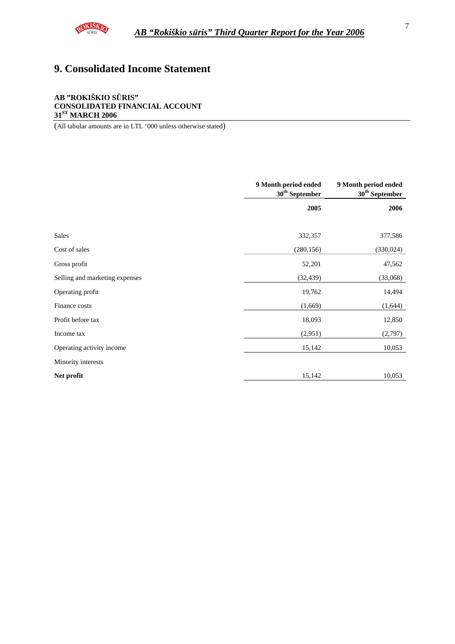

## **9. Consolidated Income Statement**

#### **AB "ROKIŠKIO S**Ū**RIS" CONSOLIDATED FINANCIAL ACCOUNT 31ST MARCH 2006**

(All tabular amounts are in LTL '000 unless otherwise stated)

|                                | 9 Month period ended<br>$30^{\rm th}$ September | 9 Month period ended<br>$30^{\rm th}$ September |
|--------------------------------|-------------------------------------------------|-------------------------------------------------|
|                                | 2005                                            | 2006                                            |
|                                |                                                 |                                                 |
| Sales                          | 332,357                                         | 377,586                                         |
| Cost of sales                  | (280, 156)                                      | (330, 024)                                      |
| Gross profit                   | 52,201                                          | 47,562                                          |
| Selling and marketing expenses | (32, 439)                                       | (33,068)                                        |
| Operating profit               | 19,762                                          | 14,494                                          |
| Finance costs                  | (1,669)                                         | (1,644)                                         |
| Profit before tax              | 18,093                                          | 12,850                                          |
| Income tax                     | (2,951)                                         | (2,797)                                         |
| Operating activity income      | 15,142                                          | 10,053                                          |
| Minority interests             |                                                 |                                                 |
| Net profit                     | 15,142                                          | 10,053                                          |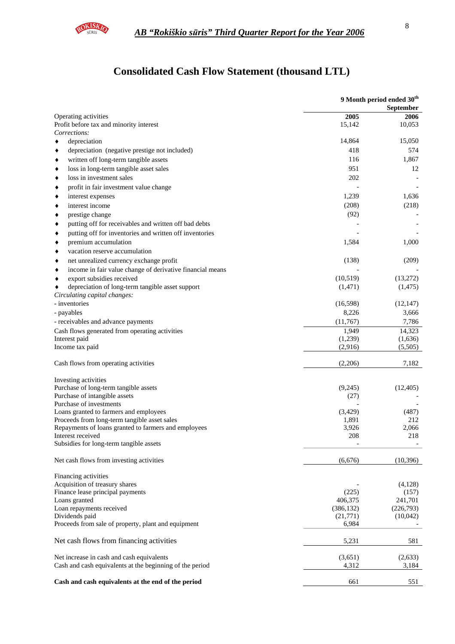

## **Consolidated Cash Flow Statement (thousand LTL)**

|                                                                                        |                   | 9 Month period ended 30 <sup>th</sup><br>September |
|----------------------------------------------------------------------------------------|-------------------|----------------------------------------------------|
| Operating activities                                                                   | 2005              | 2006                                               |
| Profit before tax and minority interest                                                | 15,142            | 10,053                                             |
| Corrections:                                                                           |                   |                                                    |
| depreciation                                                                           | 14,864            | 15,050                                             |
| depreciation (negative prestige not included)<br>٠                                     | 418               | 574                                                |
| written off long-term tangible assets<br>٠                                             | 116               | 1,867                                              |
| loss in long-term tangible asset sales<br>٠                                            | 951               | 12                                                 |
| loss in investment sales<br>٠                                                          | 202               |                                                    |
| profit in fair investment value change<br>٠                                            |                   |                                                    |
| interest expenses<br>٠                                                                 | 1,239             | 1,636                                              |
| interest income<br>٠                                                                   | (208)             | (218)                                              |
| prestige change<br>٠                                                                   | (92)              |                                                    |
| putting off for receivables and written off bad debts<br>٠                             |                   |                                                    |
| putting off for inventories and written off inventories<br>٠                           |                   |                                                    |
| premium accumulation<br>٠                                                              | 1,584             | 1,000                                              |
| vacation reserve accumulation<br>٠                                                     |                   |                                                    |
| net unrealized currency exchange profit<br>٠                                           | (138)             | (209)                                              |
| income in fair value change of derivative financial means<br>٠                         |                   |                                                    |
| export subsidies received<br>٠                                                         | (10,519)          | (13,272)                                           |
| depreciation of long-term tangible asset support                                       | (1,471)           | (1, 475)                                           |
| Circulating capital changes:                                                           |                   |                                                    |
| - inventories                                                                          | (16,598)          | (12, 147)                                          |
| - payables                                                                             | 8,226             | 3,666                                              |
| - receivables and advance payments                                                     | (11,767)          | 7,786                                              |
| Cash flows generated from operating activities                                         | 1,949             | 14,323                                             |
| Interest paid                                                                          | (1,239)           | (1,636)                                            |
| Income tax paid                                                                        | (2,916)           | (5,505)                                            |
| Cash flows from operating activities                                                   | (2,206)           | 7,182                                              |
| Investing activities                                                                   |                   |                                                    |
| Purchase of long-term tangible assets                                                  | (9,245)           | (12, 405)                                          |
| Purchase of intangible assets                                                          | (27)              |                                                    |
| Purchase of investments                                                                |                   |                                                    |
| Loans granted to farmers and employees<br>Proceeds from long-term tangible asset sales | (3,429)<br>1,891  | (487)<br>212                                       |
| Repayments of loans granted to farmers and employees                                   | 3,926             | 2,066                                              |
| Interest received                                                                      | 208               | 218                                                |
| Subsidies for long-term tangible assets                                                |                   |                                                    |
| Net cash flows from investing activities                                               | (6,676)           | (10, 396)                                          |
| Financing activities                                                                   |                   |                                                    |
| Acquisition of treasury shares                                                         |                   | (4,128)                                            |
| Finance lease principal payments                                                       | (225)             | (157)                                              |
| Loans granted                                                                          | 406,375           | 241,701                                            |
| Loan repayments received                                                               | (386, 132)        | (226,793)                                          |
| Dividends paid<br>Proceeds from sale of property, plant and equipment                  | (21,771)<br>6,984 | (10,042)                                           |
|                                                                                        |                   |                                                    |
| Net cash flows from financing activities                                               | 5,231             | 581                                                |
| Net increase in cash and cash equivalents                                              | (3,651)           | (2,633)                                            |
| Cash and cash equivalents at the beginning of the period                               | 4,312             | 3,184                                              |
| Cash and cash equivalents at the end of the period                                     | 661               | 551                                                |
|                                                                                        |                   |                                                    |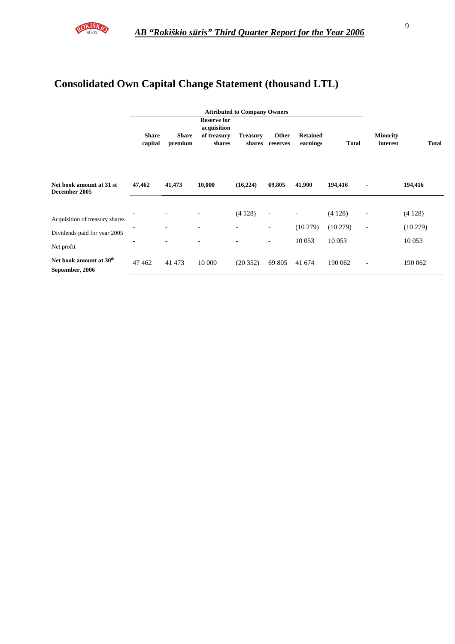

## **Consolidated Own Capital Change Statement (thousand LTL)**

|                                                                              |                         |                         |                                                            | <b>Attributed to Company Owners</b> |                                                                                  |                                               |                             |                                                      |                             |
|------------------------------------------------------------------------------|-------------------------|-------------------------|------------------------------------------------------------|-------------------------------------|----------------------------------------------------------------------------------|-----------------------------------------------|-----------------------------|------------------------------------------------------|-----------------------------|
|                                                                              | <b>Share</b><br>capital | <b>Share</b><br>premium | <b>Reserve for</b><br>acquisition<br>of treasury<br>shares | <b>Treasury</b><br>shares           | Other<br>reserves                                                                | <b>Retained</b><br>earnings                   | <b>Total</b>                | <b>Minority</b><br>interest                          | <b>Total</b>                |
| Net book amount at 31 st<br>December 2005                                    | 47,462                  | 41,473                  | 10,000                                                     | (16, 224)                           | 69,805                                                                           | 41,900                                        | 194,416                     | $\blacksquare$                                       | 194,416                     |
| Acquisition of treasury shares<br>Dividends paid for year 2005<br>Net profit |                         |                         |                                                            | (4128)<br>$\overline{a}$            | $\overline{\phantom{a}}$<br>$\overline{\phantom{a}}$<br>$\overline{\phantom{a}}$ | $\overline{\phantom{a}}$<br>(10279)<br>10 053 | (4128)<br>(10279)<br>10 053 | $\overline{\phantom{a}}$<br>$\overline{\phantom{a}}$ | (4128)<br>(10279)<br>10 053 |
| Net book amount at 30 <sup>th</sup><br>September, 2006                       | 47462                   | 41 473                  | 10 000                                                     | (20352)                             | 69 805                                                                           | 41 674                                        | 190 062                     | $\overline{\phantom{a}}$                             | 190 062                     |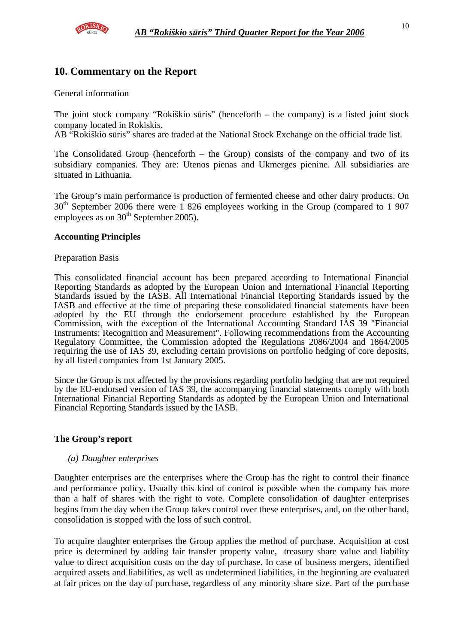

### **10. Commentary on the Report**

#### General information

The joint stock company "Rokiškio sūris" (henceforth – the company) is a listed joint stock company located in Rokiskis.

AB "Rokiškio sūris" shares are traded at the National Stock Exchange on the official trade list.

The Consolidated Group (henceforth – the Group) consists of the company and two of its subsidiary companies. They are: Utenos pienas and Ukmerges pienine. All subsidiaries are situated in Lithuania.

The Group's main performance is production of fermented cheese and other dairy products. On 30<sup>th</sup> September 2006 there were 1 826 employees working in the Group (compared to 1 907 employees as on  $30<sup>th</sup>$  September 2005).

#### **Accounting Principles**

#### Preparation Basis

This consolidated financial account has been prepared according to International Financial Reporting Standards as adopted by the European Union and International Financial Reporting Standards issued by the IASB. All International Financial Reporting Standards issued by the IASB and effective at the time of preparing these consolidated financial statements have been adopted by the EU through the endorsement procedure established by the European Commission, with the exception of the International Accounting Standard IAS 39 "Financial Instruments: Recognition and Measurement". Following recommendations from the Accounting Regulatory Committee, the Commission adopted the Regulations 2086/2004 and 1864/2005 requiring the use of IAS 39, excluding certain provisions on portfolio hedging of core deposits, by all listed companies from 1st January 2005.

Since the Group is not affected by the provisions regarding portfolio hedging that are not required by the EU-endorsed version of IAS 39, the accompanying financial statements comply with both International Financial Reporting Standards as adopted by the European Union and International Financial Reporting Standards issued by the IASB.

#### **The Group's report**

#### *(a) Daughter enterprises*

Daughter enterprises are the enterprises where the Group has the right to control their finance and performance policy. Usually this kind of control is possible when the company has more than a half of shares with the right to vote. Complete consolidation of daughter enterprises begins from the day when the Group takes control over these enterprises, and, on the other hand, consolidation is stopped with the loss of such control.

To acquire daughter enterprises the Group applies the method of purchase. Acquisition at cost price is determined by adding fair transfer property value, treasury share value and liability value to direct acquisition costs on the day of purchase. In case of business mergers, identified acquired assets and liabilities, as well as undetermined liabilities, in the beginning are evaluated at fair prices on the day of purchase, regardless of any minority share size. Part of the purchase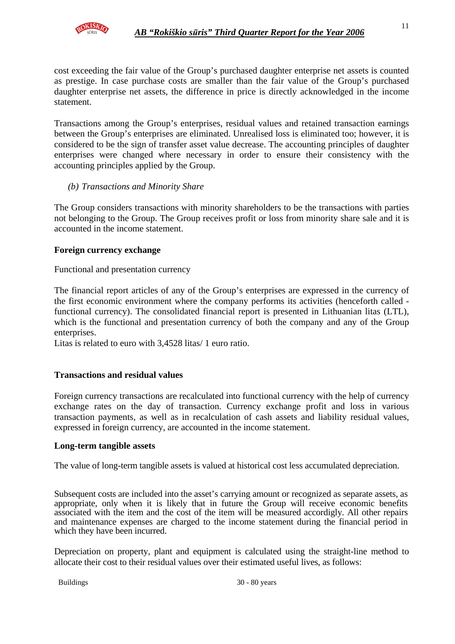

cost exceeding the fair value of the Group's purchased daughter enterprise net assets is counted as prestige. In case purchase costs are smaller than the fair value of the Group's purchased daughter enterprise net assets, the difference in price is directly acknowledged in the income statement.

Transactions among the Group's enterprises, residual values and retained transaction earnings between the Group's enterprises are eliminated. Unrealised loss is eliminated too; however, it is considered to be the sign of transfer asset value decrease. The accounting principles of daughter enterprises were changed where necessary in order to ensure their consistency with the accounting principles applied by the Group.

#### *(b) Transactions and Minority Share*

The Group considers transactions with minority shareholders to be the transactions with parties not belonging to the Group. The Group receives profit or loss from minority share sale and it is accounted in the income statement.

#### **Foreign currency exchange**

Functional and presentation currency

The financial report articles of any of the Group's enterprises are expressed in the currency of the first economic environment where the company performs its activities (henceforth called functional currency). The consolidated financial report is presented in Lithuanian litas (LTL), which is the functional and presentation currency of both the company and any of the Group enterprises.

Litas is related to euro with 3,4528 litas/ 1 euro ratio.

#### **Transactions and residual values**

Foreign currency transactions are recalculated into functional currency with the help of currency exchange rates on the day of transaction. Currency exchange profit and loss in various transaction payments, as well as in recalculation of cash assets and liability residual values, expressed in foreign currency, are accounted in the income statement.

#### **Long-term tangible assets**

The value of long-term tangible assets is valued at historical cost less accumulated depreciation.

Subsequent costs are included into the asset's carrying amount or recognized as separate assets, as appropriate, only when it is likely that in future the Group will receive economic benefits associated with the item and the cost of the item will be measured accordigly. All other repairs and maintenance expenses are charged to the income statement during the financial period in which they have been incurred.

Depreciation on property, plant and equipment is calculated using the straight-line method to allocate their cost to their residual values over their estimated useful lives, as follows: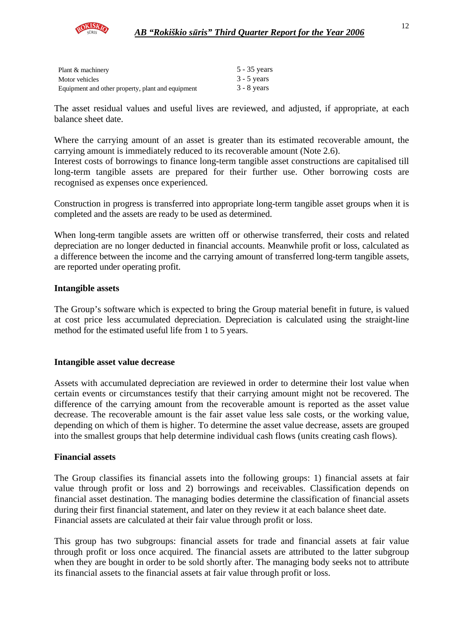

| Plant & machinery                                 | $5 - 35$ years |
|---------------------------------------------------|----------------|
| Motor vehicles                                    | $3 - 5$ years  |
| Equipment and other property, plant and equipment | $3 - 8$ years  |

The asset residual values and useful lives are reviewed, and adjusted, if appropriate, at each balance sheet date.

Where the carrying amount of an asset is greater than its estimated recoverable amount, the carrying amount is immediately reduced to its recoverable amount (Note 2.6).

Interest costs of borrowings to finance long-term tangible asset constructions are capitalised till long-term tangible assets are prepared for their further use. Other borrowing costs are recognised as expenses once experienced.

Construction in progress is transferred into appropriate long-term tangible asset groups when it is completed and the assets are ready to be used as determined.

When long-term tangible assets are written off or otherwise transferred, their costs and related depreciation are no longer deducted in financial accounts. Meanwhile profit or loss, calculated as a difference between the income and the carrying amount of transferred long-term tangible assets, are reported under operating profit.

#### **Intangible assets**

The Group's software which is expected to bring the Group material benefit in future, is valued at cost price less accumulated depreciation. Depreciation is calculated using the straight-line method for the estimated useful life from 1 to 5 years.

#### **Intangible asset value decrease**

Assets with accumulated depreciation are reviewed in order to determine their lost value when certain events or circumstances testify that their carrying amount might not be recovered. The difference of the carrying amount from the recoverable amount is reported as the asset value decrease. The recoverable amount is the fair asset value less sale costs, or the working value, depending on which of them is higher. To determine the asset value decrease, assets are grouped into the smallest groups that help determine individual cash flows (units creating cash flows).

#### **Financial assets**

The Group classifies its financial assets into the following groups: 1) financial assets at fair value through profit or loss and 2) borrowings and receivables. Classification depends on financial asset destination. The managing bodies determine the classification of financial assets during their first financial statement, and later on they review it at each balance sheet date. Financial assets are calculated at their fair value through profit or loss.

This group has two subgroups: financial assets for trade and financial assets at fair value through profit or loss once acquired. The financial assets are attributed to the latter subgroup when they are bought in order to be sold shortly after. The managing body seeks not to attribute its financial assets to the financial assets at fair value through profit or loss.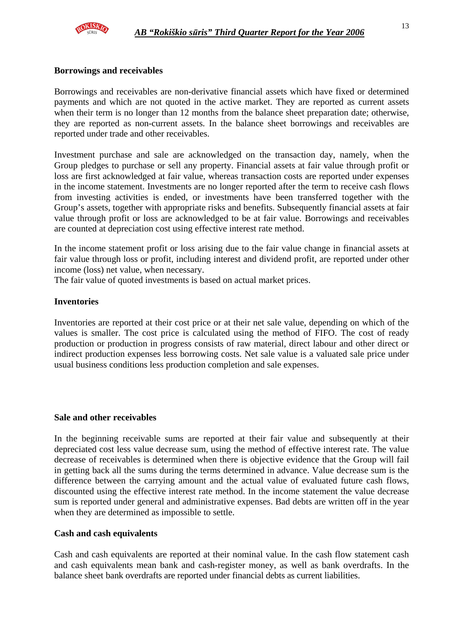

#### **Borrowings and receivables**

Borrowings and receivables are non-derivative financial assets which have fixed or determined payments and which are not quoted in the active market. They are reported as current assets when their term is no longer than 12 months from the balance sheet preparation date; otherwise, they are reported as non-current assets. In the balance sheet borrowings and receivables are reported under trade and other receivables.

Investment purchase and sale are acknowledged on the transaction day, namely, when the Group pledges to purchase or sell any property. Financial assets at fair value through profit or loss are first acknowledged at fair value, whereas transaction costs are reported under expenses in the income statement. Investments are no longer reported after the term to receive cash flows from investing activities is ended, or investments have been transferred together with the Group's assets, together with appropriate risks and benefits. Subsequently financial assets at fair value through profit or loss are acknowledged to be at fair value. Borrowings and receivables are counted at depreciation cost using effective interest rate method.

In the income statement profit or loss arising due to the fair value change in financial assets at fair value through loss or profit, including interest and dividend profit, are reported under other income (loss) net value, when necessary.

The fair value of quoted investments is based on actual market prices.

#### **Inventories**

Inventories are reported at their cost price or at their net sale value, depending on which of the values is smaller. The cost price is calculated using the method of FIFO. The cost of ready production or production in progress consists of raw material, direct labour and other direct or indirect production expenses less borrowing costs. Net sale value is a valuated sale price under usual business conditions less production completion and sale expenses.

#### **Sale and other receivables**

In the beginning receivable sums are reported at their fair value and subsequently at their depreciated cost less value decrease sum, using the method of effective interest rate. The value decrease of receivables is determined when there is objective evidence that the Group will fail in getting back all the sums during the terms determined in advance. Value decrease sum is the difference between the carrying amount and the actual value of evaluated future cash flows, discounted using the effective interest rate method. In the income statement the value decrease sum is reported under general and administrative expenses. Bad debts are written off in the year when they are determined as impossible to settle.

#### **Cash and cash equivalents**

Cash and cash equivalents are reported at their nominal value. In the cash flow statement cash and cash equivalents mean bank and cash-register money, as well as bank overdrafts. In the balance sheet bank overdrafts are reported under financial debts as current liabilities.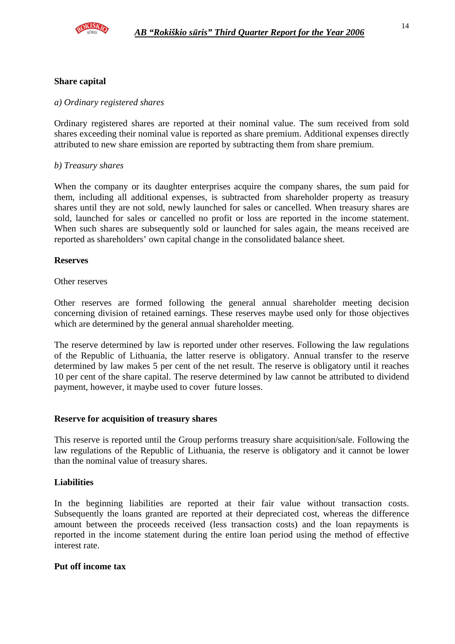

#### **Share capital**

#### *a) Ordinary registered shares*

Ordinary registered shares are reported at their nominal value. The sum received from sold shares exceeding their nominal value is reported as share premium. Additional expenses directly attributed to new share emission are reported by subtracting them from share premium.

#### *b) Treasury shares*

When the company or its daughter enterprises acquire the company shares, the sum paid for them, including all additional expenses, is subtracted from shareholder property as treasury shares until they are not sold, newly launched for sales or cancelled. When treasury shares are sold, launched for sales or cancelled no profit or loss are reported in the income statement. When such shares are subsequently sold or launched for sales again, the means received are reported as shareholders' own capital change in the consolidated balance sheet.

#### **Reserves**

#### Other reserves

Other reserves are formed following the general annual shareholder meeting decision concerning division of retained earnings. These reserves maybe used only for those objectives which are determined by the general annual shareholder meeting.

The reserve determined by law is reported under other reserves. Following the law regulations of the Republic of Lithuania, the latter reserve is obligatory. Annual transfer to the reserve determined by law makes 5 per cent of the net result. The reserve is obligatory until it reaches 10 per cent of the share capital. The reserve determined by law cannot be attributed to dividend payment, however, it maybe used to cover future losses.

#### **Reserve for acquisition of treasury shares**

This reserve is reported until the Group performs treasury share acquisition/sale. Following the law regulations of the Republic of Lithuania, the reserve is obligatory and it cannot be lower than the nominal value of treasury shares.

#### **Liabilities**

In the beginning liabilities are reported at their fair value without transaction costs. Subsequently the loans granted are reported at their depreciated cost, whereas the difference amount between the proceeds received (less transaction costs) and the loan repayments is reported in the income statement during the entire loan period using the method of effective interest rate.

#### **Put off income tax**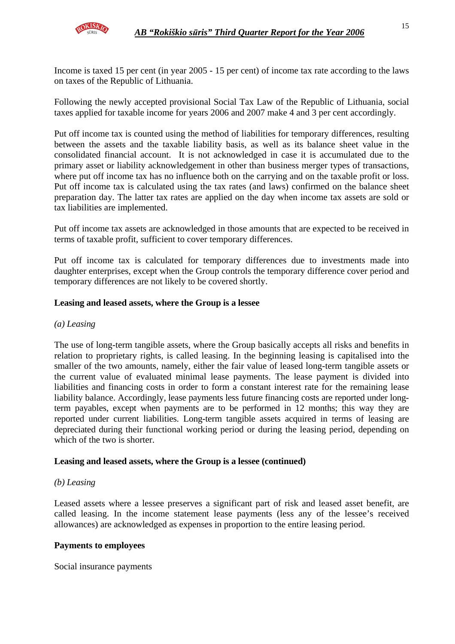Income is taxed 15 per cent (in year 2005 - 15 per cent) of income tax rate according to the laws on taxes of the Republic of Lithuania.

Following the newly accepted provisional Social Tax Law of the Republic of Lithuania, social taxes applied for taxable income for years 2006 and 2007 make 4 and 3 per cent accordingly.

Put off income tax is counted using the method of liabilities for temporary differences, resulting between the assets and the taxable liability basis, as well as its balance sheet value in the consolidated financial account. It is not acknowledged in case it is accumulated due to the primary asset or liability acknowledgement in other than business merger types of transactions, where put off income tax has no influence both on the carrying and on the taxable profit or loss. Put off income tax is calculated using the tax rates (and laws) confirmed on the balance sheet preparation day. The latter tax rates are applied on the day when income tax assets are sold or tax liabilities are implemented.

Put off income tax assets are acknowledged in those amounts that are expected to be received in terms of taxable profit, sufficient to cover temporary differences.

Put off income tax is calculated for temporary differences due to investments made into daughter enterprises, except when the Group controls the temporary difference cover period and temporary differences are not likely to be covered shortly.

#### **Leasing and leased assets, where the Group is a lessee**

#### *(a) Leasing*

The use of long-term tangible assets, where the Group basically accepts all risks and benefits in relation to proprietary rights, is called leasing. In the beginning leasing is capitalised into the smaller of the two amounts, namely, either the fair value of leased long-term tangible assets or the current value of evaluated minimal lease payments. The lease payment is divided into liabilities and financing costs in order to form a constant interest rate for the remaining lease liability balance. Accordingly, lease payments less future financing costs are reported under longterm payables, except when payments are to be performed in 12 months; this way they are reported under current liabilities. Long-term tangible assets acquired in terms of leasing are depreciated during their functional working period or during the leasing period, depending on which of the two is shorter.

#### **Leasing and leased assets, where the Group is a lessee (continued)**

#### *(b) Leasing*

Leased assets where a lessee preserves a significant part of risk and leased asset benefit, are called leasing. In the income statement lease payments (less any of the lessee's received allowances) are acknowledged as expenses in proportion to the entire leasing period.

#### **Payments to employees**

Social insurance payments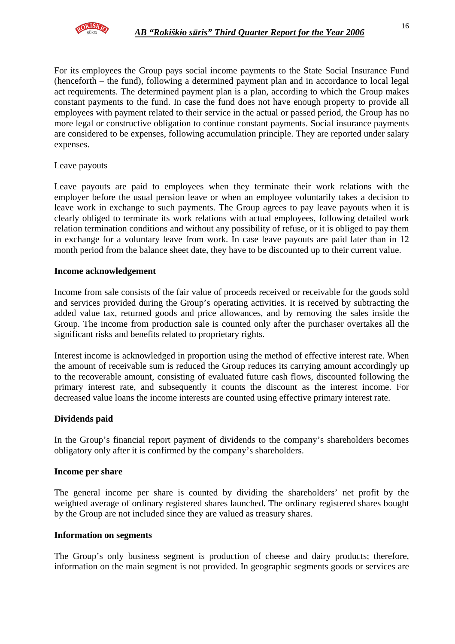

For its employees the Group pays social income payments to the State Social Insurance Fund (henceforth – the fund), following a determined payment plan and in accordance to local legal act requirements. The determined payment plan is a plan, according to which the Group makes constant payments to the fund. In case the fund does not have enough property to provide all employees with payment related to their service in the actual or passed period, the Group has no more legal or constructive obligation to continue constant payments. Social insurance payments are considered to be expenses, following accumulation principle. They are reported under salary expenses.

Leave payouts

Leave payouts are paid to employees when they terminate their work relations with the employer before the usual pension leave or when an employee voluntarily takes a decision to leave work in exchange to such payments. The Group agrees to pay leave payouts when it is clearly obliged to terminate its work relations with actual employees, following detailed work relation termination conditions and without any possibility of refuse, or it is obliged to pay them in exchange for a voluntary leave from work. In case leave payouts are paid later than in 12 month period from the balance sheet date, they have to be discounted up to their current value.

#### **Income acknowledgement**

Income from sale consists of the fair value of proceeds received or receivable for the goods sold and services provided during the Group's operating activities. It is received by subtracting the added value tax, returned goods and price allowances, and by removing the sales inside the Group. The income from production sale is counted only after the purchaser overtakes all the significant risks and benefits related to proprietary rights.

Interest income is acknowledged in proportion using the method of effective interest rate. When the amount of receivable sum is reduced the Group reduces its carrying amount accordingly up to the recoverable amount, consisting of evaluated future cash flows, discounted following the primary interest rate, and subsequently it counts the discount as the interest income. For decreased value loans the income interests are counted using effective primary interest rate.

#### **Dividends paid**

In the Group's financial report payment of dividends to the company's shareholders becomes obligatory only after it is confirmed by the company's shareholders.

#### **Income per share**

The general income per share is counted by dividing the shareholders' net profit by the weighted average of ordinary registered shares launched. The ordinary registered shares bought by the Group are not included since they are valued as treasury shares.

#### **Information on segments**

The Group's only business segment is production of cheese and dairy products; therefore, information on the main segment is not provided. In geographic segments goods or services are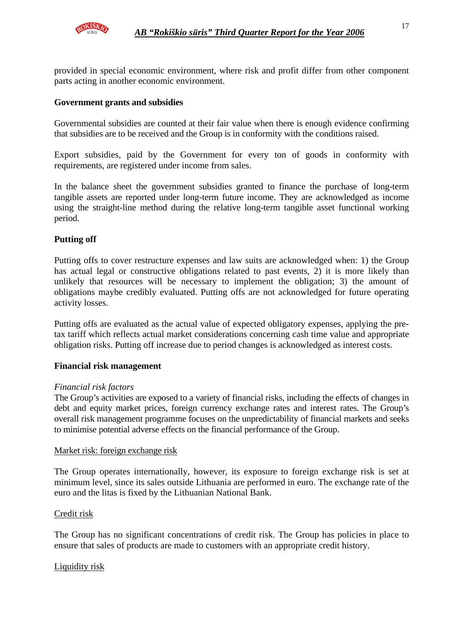

provided in special economic environment, where risk and profit differ from other component parts acting in another economic environment.

#### **Government grants and subsidies**

Governmental subsidies are counted at their fair value when there is enough evidence confirming that subsidies are to be received and the Group is in conformity with the conditions raised.

Export subsidies, paid by the Government for every ton of goods in conformity with requirements, are registered under income from sales.

In the balance sheet the government subsidies granted to finance the purchase of long-term tangible assets are reported under long-term future income. They are acknowledged as income using the straight-line method during the relative long-term tangible asset functional working period.

#### **Putting off**

Putting offs to cover restructure expenses and law suits are acknowledged when: 1) the Group has actual legal or constructive obligations related to past events, 2) it is more likely than unlikely that resources will be necessary to implement the obligation; 3) the amount of obligations maybe credibly evaluated. Putting offs are not acknowledged for future operating activity losses.

Putting offs are evaluated as the actual value of expected obligatory expenses, applying the pretax tariff which reflects actual market considerations concerning cash time value and appropriate obligation risks. Putting off increase due to period changes is acknowledged as interest costs.

#### **Financial risk management**

#### *Financial risk factors*

The Group's activities are exposed to a variety of financial risks, including the effects of changes in debt and equity market prices, foreign currency exchange rates and interest rates. The Group's overall risk management programme focuses on the unpredictability of financial markets and seeks to minimise potential adverse effects on the financial performance of the Group.

#### Market risk: foreign exchange risk

The Group operates internationally, however, its exposure to foreign exchange risk is set at minimum level, since its sales outside Lithuania are performed in euro. The exchange rate of the euro and the litas is fixed by the Lithuanian National Bank.

#### Credit risk

The Group has no significant concentrations of credit risk. The Group has policies in place to ensure that sales of products are made to customers with an appropriate credit history.

#### Liquidity risk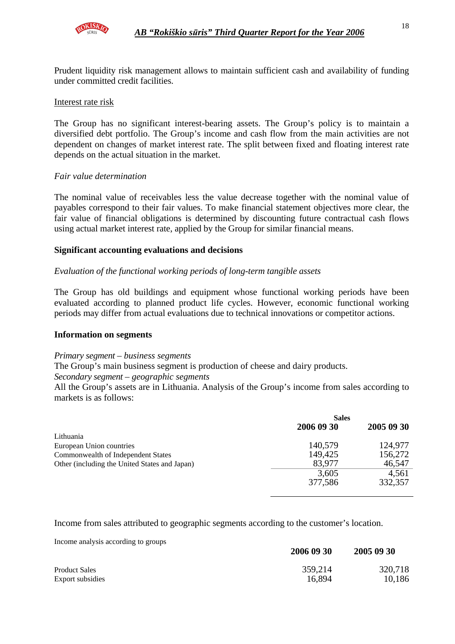

Prudent liquidity risk management allows to maintain sufficient cash and availability of funding under committed credit facilities.

#### Interest rate risk

The Group has no significant interest-bearing assets. The Group's policy is to maintain a diversified debt portfolio. The Group's income and cash flow from the main activities are not dependent on changes of market interest rate. The split between fixed and floating interest rate depends on the actual situation in the market.

#### *Fair value determination*

The nominal value of receivables less the value decrease together with the nominal value of payables correspond to their fair values. To make financial statement objectives more clear, the fair value of financial obligations is determined by discounting future contractual cash flows using actual market interest rate, applied by the Group for similar financial means.

#### **Significant accounting evaluations and decisions**

#### *Evaluation of the functional working periods of long-term tangible assets*

The Group has old buildings and equipment whose functional working periods have been evaluated according to planned product life cycles. However, economic functional working periods may differ from actual evaluations due to technical innovations or competitor actions.

#### **Information on segments**

#### *Primary segment – business segments*

The Group's main business segment is production of cheese and dairy products.

#### *Secondary segment – geographic segments*

All the Group's assets are in Lithuania. Analysis of the Group's income from sales according to markets is as follows:

| <b>Sales</b> |            |  |
|--------------|------------|--|
| 2006 09 30   | 2005 09 30 |  |
|              |            |  |
| 140,579      | 124,977    |  |
| 149,425      | 156,272    |  |
| 83,977       | 46,547     |  |
| 3,605        | 4,561      |  |
| 377,586      | 332,357    |  |
|              |            |  |

Income from sales attributed to geographic segments according to the customer's location.

Income analysis according to groups

| monto analysis according to groups | 2006 09 30 | 2005 09 30 |
|------------------------------------|------------|------------|
| <b>Product Sales</b>               | 359,214    | 320,718    |
| Export subsidies                   | 16,894     | 10,186     |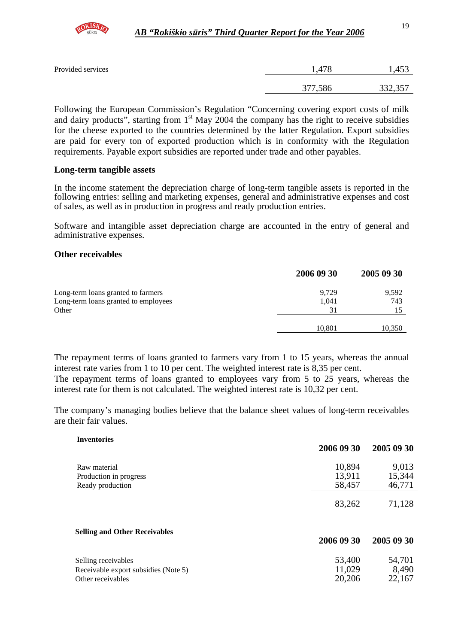

| Provided services | 1,478   | .,453   |
|-------------------|---------|---------|
|                   | 377,586 | 332,357 |

Following the European Commission's Regulation "Concerning covering export costs of milk and dairy products", starting from  $1<sup>st</sup>$  May 2004 the company has the right to receive subsidies for the cheese exported to the countries determined by the latter Regulation. Export subsidies are paid for every ton of exported production which is in conformity with the Regulation requirements. Payable export subsidies are reported under trade and other payables.

#### **Long-term tangible assets**

In the income statement the depreciation charge of long-term tangible assets is reported in the following entries: selling and marketing expenses, general and administrative expenses and cost of sales, as well as in production in progress and ready production entries.

Software and intangible asset depreciation charge are accounted in the entry of general and administrative expenses.

#### **Other receivables**

|                                      | 2006 09 30 | 2005 09 30 |
|--------------------------------------|------------|------------|
| Long-term loans granted to farmers   | 9,729      | 9,592      |
| Long-term loans granted to employees | 1,041      | 743        |
| Other                                | 31         |            |
|                                      | 10.801     | 10,350     |

The repayment terms of loans granted to farmers vary from 1 to 15 years, whereas the annual interest rate varies from 1 to 10 per cent. The weighted interest rate is 8,35 per cent.

The repayment terms of loans granted to employees vary from 5 to 25 years, whereas the interest rate for them is not calculated. The weighted interest rate is 10,32 per cent.

The company's managing bodies believe that the balance sheet values of long-term receivables are their fair values.

| <b>Inventories</b>                   |            |            |
|--------------------------------------|------------|------------|
|                                      | 2006 09 30 | 2005 09 30 |
| Raw material                         | 10,894     | 9,013      |
| Production in progress               | 13,911     | 15,344     |
| Ready production                     | 58,457     | 46,771     |
|                                      |            |            |
|                                      | 83,262     | 71,128     |
| <b>Selling and Other Receivables</b> |            |            |
|                                      | 2006 09 30 | 2005 09 30 |
| Selling receivables                  | 53,400     | 54,701     |
| Receivable export subsidies (Note 5) | 11,029     | 8,490      |
| Other receivables                    | 20,206     | 22,167     |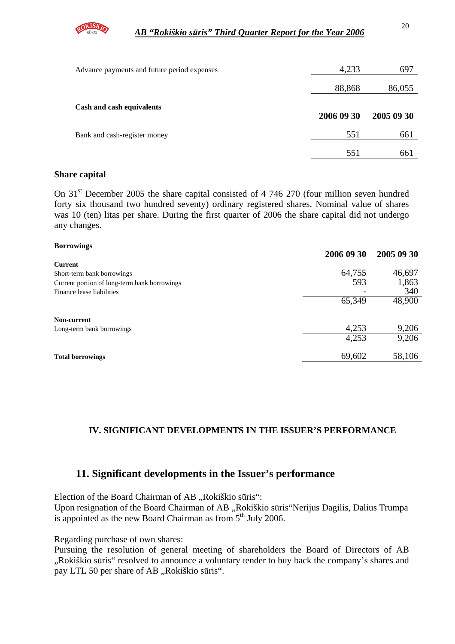

| Advance payments and future period expenses | 4,233      | 697        |
|---------------------------------------------|------------|------------|
|                                             | 88,868     | 86,055     |
| Cash and cash equivalents                   | 2006 09 30 | 2005 09 30 |
| Bank and cash-register money                | 551        | 661        |
|                                             | 551        | 661        |

#### **Share capital**

**Borrowings** 

On 31<sup>st</sup> December 2005 the share capital consisted of 4 746 270 (four million seven hundred forty six thousand two hundred seventy) ordinary registered shares. Nominal value of shares was 10 (ten) litas per share. During the first quarter of 2006 the share capital did not undergo any changes.

| <b>BOFFOWINGS</b>                            | 2006 09 30 | 2005 09 30 |
|----------------------------------------------|------------|------------|
| Current                                      |            |            |
| Short-term bank borrowings                   | 64,755     | 46,697     |
| Current portion of long-term bank borrowings | 593        | 1,863      |
| Finance lease liabilities                    |            | 340        |
|                                              | 65,349     | 48,900     |
| Non-current                                  |            |            |
| Long-term bank borrowings                    | 4,253      | 9,206      |
|                                              | 4,253      | 9,206      |
| <b>Total borrowings</b>                      | 69,602     | 58,106     |
|                                              |            |            |

#### **IV. SIGNIFICANT DEVELOPMENTS IN THE ISSUER'S PERFORMANCE**

## **11. Significant developments in the Issuer's performance**

Election of the Board Chairman of AB "Rokiškio sūris":

Upon resignation of the Board Chairman of AB "Rokiškio sūris"Nerijus Dagilis, Dalius Trumpa is appointed as the new Board Chairman as from 5<sup>th</sup> July 2006.

Regarding purchase of own shares:

Pursuing the resolution of general meeting of shareholders the Board of Directors of AB "Rokiškio sūris" resolved to announce a voluntary tender to buy back the company's shares and pay LTL 50 per share of AB "Rokiškio sūris".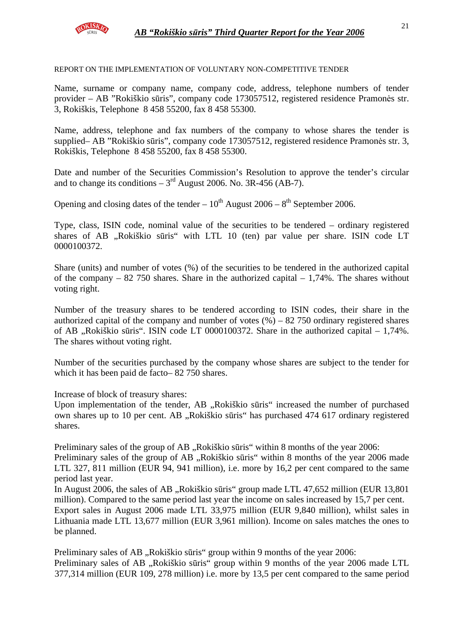

REPORT ON THE IMPLEMENTATION OF VOLUNTARY NON-COMPETITIVE TENDER

Name, surname or company name, company code, address, telephone numbers of tender provider – AB "Rokiškio sūris", company code 173057512, registered residence Pramonės str. 3, Rokiškis, Telephone 8 458 55200, fax 8 458 55300.

Name, address, telephone and fax numbers of the company to whose shares the tender is supplied– AB "Rokiškio sūris", company code 173057512, registered residence Pramonės str. 3, Rokiškis, Telephone 8 458 55200, fax 8 458 55300.

Date and number of the Securities Commission's Resolution to approve the tender's circular and to change its conditions  $-3<sup>rd</sup>$  August 2006. No. 3R-456 (AB-7).

Opening and closing dates of the tender –  $10^{th}$  August 2006 –  $8^{th}$  September 2006.

Type, class, ISIN code, nominal value of the securities to be tendered – ordinary registered shares of AB "Rokiškio sūris" with LTL 10 (ten) par value per share. ISIN code LT 0000100372.

Share (units) and number of votes (%) of the securities to be tendered in the authorized capital of the company – 82 750 shares. Share in the authorized capital –  $1,74\%$ . The shares without voting right.

Number of the treasury shares to be tendered according to ISIN codes, their share in the authorized capital of the company and number of votes  $(\%)$  – 82 750 ordinary registered shares of AB  $\mu$ Rokiškio sūris". ISIN code LT 0000100372. Share in the authorized capital – 1,74%. The shares without voting right.

Number of the securities purchased by the company whose shares are subject to the tender for which it has been paid de facto– 82 750 shares.

Increase of block of treasury shares:

Upon implementation of the tender, AB "Rokiškio sūris" increased the number of purchased own shares up to 10 per cent. AB "Rokiškio sūris" has purchased 474 617 ordinary registered shares.

Preliminary sales of the group of AB "Rokiškio sūris" within 8 months of the year 2006:

Preliminary sales of the group of AB "Rokiškio sūris" within 8 months of the year 2006 made LTL 327, 811 million (EUR 94, 941 million), i.e. more by 16,2 per cent compared to the same period last year.

In August 2006, the sales of AB "Rokiškio sūris" group made LTL 47,652 million (EUR 13,801) million). Compared to the same period last year the income on sales increased by 15,7 per cent. Export sales in August 2006 made LTL 33,975 million (EUR 9,840 million), whilst sales in

Lithuania made LTL 13,677 million (EUR 3,961 million). Income on sales matches the ones to be planned.

Preliminary sales of AB "Rokiškio sūris" group within 9 months of the year 2006: Preliminary sales of AB "Rokiškio sūris" group within 9 months of the year 2006 made LTL 377,314 million (EUR 109, 278 million) i.e. more by 13,5 per cent compared to the same period